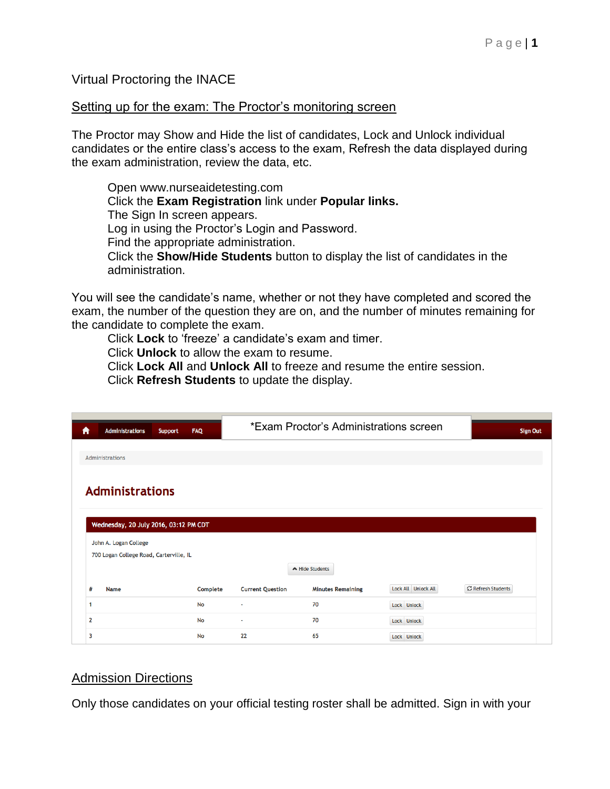Virtual Proctoring the INACE

#### Setting up for the exam: The Proctor's monitoring screen

The Proctor may Show and Hide the list of candidates, Lock and Unlock individual candidates or the entire class's access to the exam, Refresh the data displayed during the exam administration, review the data, etc.

Open www.nurseaidetesting.com Click the **Exam Registration** link under **Popular links.** The Sign In screen appears. Log in using the Proctor's Login and Password. Find the appropriate administration. Click the **Show/Hide Students** button to display the list of candidates in the administration.

You will see the candidate's name, whether or not they have completed and scored the exam, the number of the question they are on, and the number of minutes remaining for the candidate to complete the exam.

Click **Lock** to 'freeze' a candidate's exam and timer.

Click **Unlock** to allow the exam to resume.

Click **Lock All** and **Unlock All** to freeze and resume the entire session. Click **Refresh Students** to update the display.

| A                                                               | <b>Administrations</b> | <b>Support</b> | <b>FAQ</b> | *Exam Proctor's Administrations screen | <b>Sign Out</b>          |                     |                           |
|-----------------------------------------------------------------|------------------------|----------------|------------|----------------------------------------|--------------------------|---------------------|---------------------------|
|                                                                 |                        |                |            |                                        |                          |                     |                           |
| Administrations                                                 |                        |                |            |                                        |                          |                     |                           |
| <b>Administrations</b><br>Wednesday, 20 July 2016, 03:12 PM CDT |                        |                |            |                                        |                          |                     |                           |
| John A. Logan College                                           |                        |                |            |                                        |                          |                     |                           |
| 700 Logan College Road, Carterville, IL                         |                        |                |            |                                        |                          |                     |                           |
|                                                                 |                        |                |            |                                        | A Hide Students          |                     |                           |
| #                                                               | <b>Name</b>            |                | Complete   | <b>Current Question</b>                | <b>Minutes Remaining</b> | Lock All Unlock All | <b>C</b> Refresh Students |
| 1                                                               |                        |                | <b>No</b>  | ÷                                      | 70                       | Lock Unlock         |                           |
| $\overline{2}$                                                  |                        |                | <b>No</b>  | ÷                                      | 70                       | Lock Unlock         |                           |
| 3                                                               |                        |                | <b>No</b>  | 22                                     | 65                       | Lock Unlock         |                           |

# Admission Directions

Only those candidates on your official testing roster shall be admitted. Sign in with your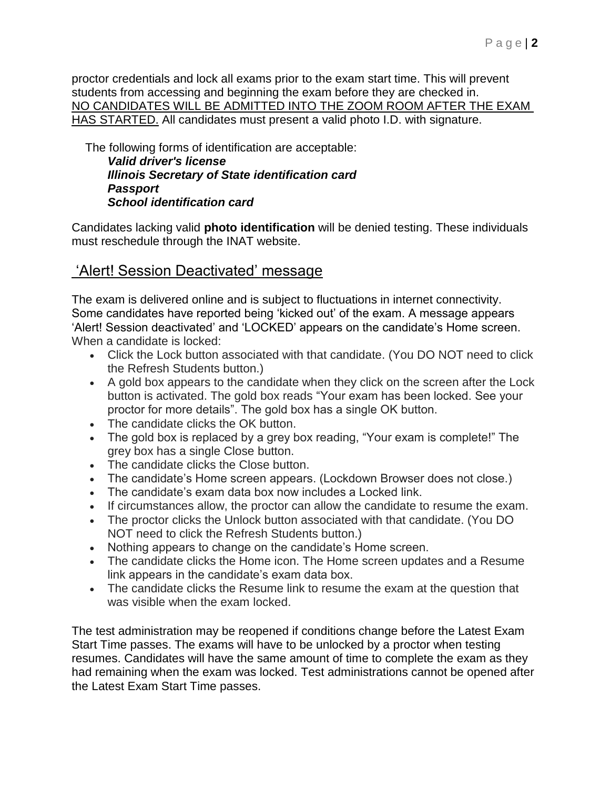proctor credentials and lock all exams prior to the exam start time. This will prevent students from accessing and beginning the exam before they are checked in. NO CANDIDATES WILL BE ADMITTED INTO THE ZOOM ROOM AFTER THE EXAM HAS STARTED. All candidates must present a valid photo I.D. with signature.

The following forms of identification are acceptable: *Valid driver's license Illinois Secretary of State identification card Passport*

*School identification card* 

Candidates lacking valid **photo identification** will be denied testing. These individuals must reschedule through the INAT website.

# 'Alert! Session Deactivated' message

The exam is delivered online and is subject to fluctuations in internet connectivity. Some candidates have reported being 'kicked out' of the exam. A message appears 'Alert! Session deactivated' and 'LOCKED' appears on the candidate's Home screen. When a candidate is locked:

- Click the Lock button associated with that candidate. (You DO NOT need to click the Refresh Students button.)
- A gold box appears to the candidate when they click on the screen after the Lock button is activated. The gold box reads "Your exam has been locked. See your proctor for more details". The gold box has a single OK button.
- The candidate clicks the OK button.
- The gold box is replaced by a grey box reading, "Your exam is complete!" The grey box has a single Close button.
- The candidate clicks the Close button.
- The candidate's Home screen appears. (Lockdown Browser does not close.)
- The candidate's exam data box now includes a Locked link.
- If circumstances allow, the proctor can allow the candidate to resume the exam.
- The proctor clicks the Unlock button associated with that candidate. (You DO NOT need to click the Refresh Students button.)
- Nothing appears to change on the candidate's Home screen.
- The candidate clicks the Home icon. The Home screen updates and a Resume link appears in the candidate's exam data box.
- The candidate clicks the Resume link to resume the exam at the question that was visible when the exam locked.

The test administration may be reopened if conditions change before the Latest Exam Start Time passes. The exams will have to be unlocked by a proctor when testing resumes. Candidates will have the same amount of time to complete the exam as they had remaining when the exam was locked. Test administrations cannot be opened after the Latest Exam Start Time passes.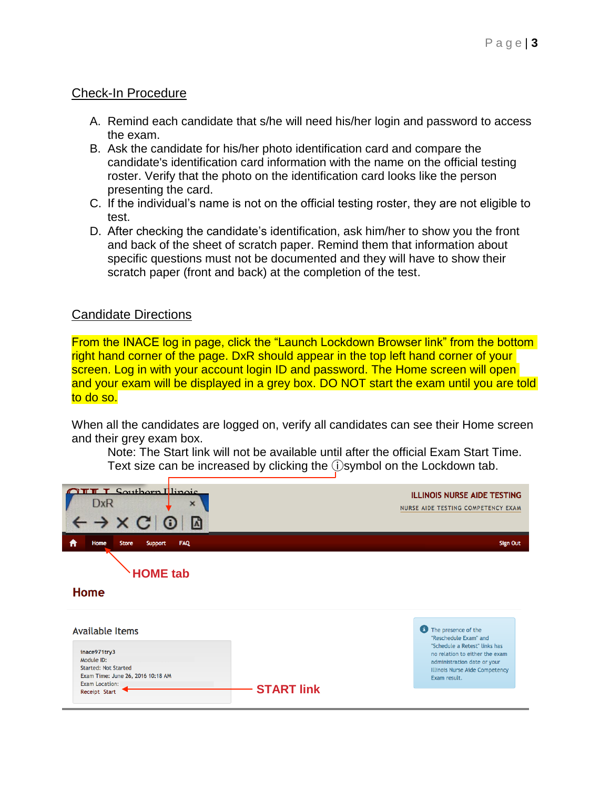## Check-In Procedure

- A. Remind each candidate that s/he will need his/her login and password to access the exam.
- B. Ask the candidate for his/her photo identification card and compare the candidate's identification card information with the name on the official testing roster. Verify that the photo on the identification card looks like the person presenting the card.
- C. If the individual's name is not on the official testing roster, they are not eligible to test.
- D. After checking the candidate's identification, ask him/her to show you the front and back of the sheet of scratch paper. Remind them that information about specific questions must not be documented and they will have to show their scratch paper (front and back) at the completion of the test.

# Candidate Directions

From the INACE log in page, click the "Launch Lockdown Browser link" from the bottom right hand corner of the page. DxR should appear in the top left hand corner of your screen. Log in with your account login ID and password. The Home screen will open and your exam will be displayed in a grey box. DO NOT start the exam until you are told to do so.

When all the candidates are logged on, verify all candidates can see their Home screen and their grey exam box.

Note: The Start link will not be available until after the official Exam Start Time. Text size can be increased by clicking the ⓘsymbol on the Lockdown tab.

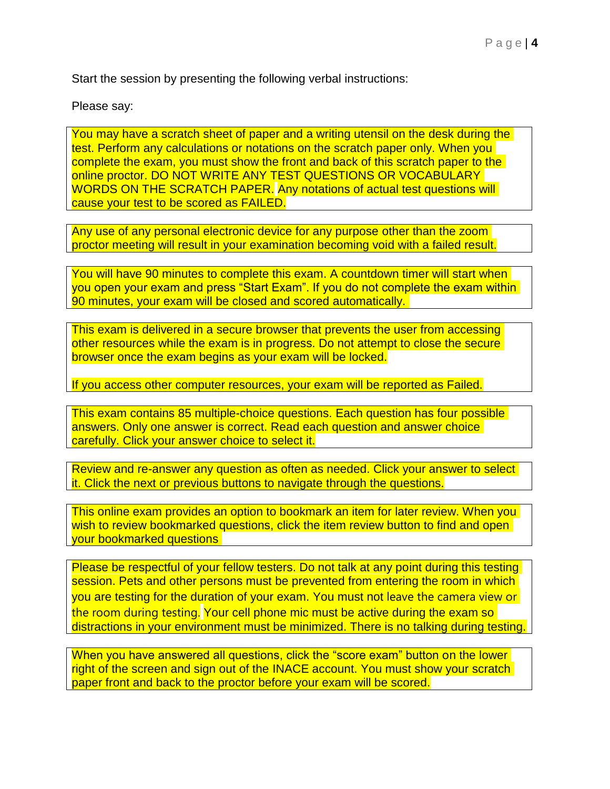Start the session by presenting the following verbal instructions:

Please say:

You may have a scratch sheet of paper and a writing utensil on the desk during the test. Perform any calculations or notations on the scratch paper only. When you complete the exam, you must show the front and back of this scratch paper to the online proctor. DO NOT WRITE ANY TEST QUESTIONS OR VOCABULARY WORDS ON THE SCRATCH PAPER. Any notations of actual test questions will cause your test to be scored as FAILED.

Any use of any personal electronic device for any purpose other than the zoom proctor meeting will result in your examination becoming void with a failed result.

You will have 90 minutes to complete this exam. A countdown timer will start when you open your exam and press "Start Exam". If you do not complete the exam within 90 minutes, your exam will be closed and scored automatically.

This exam is delivered in a secure browser that prevents the user from accessing other resources while the exam is in progress. Do not attempt to close the secure browser once the exam begins as your exam will be locked.

If you access other computer resources, your exam will be reported as Failed.

This exam contains 85 multiple-choice questions. Each question has four possible answers. Only one answer is correct. Read each question and answer choice carefully. Click your answer choice to select it.

Review and re-answer any question as often as needed. Click your answer to select it. Click the next or previous buttons to navigate through the questions.

This online exam provides an option to bookmark an item for later review. When you wish to review bookmarked questions, click the item review button to find and open your bookmarked questions

Please be respectful of your fellow testers. Do not talk at any point during this testing session. Pets and other persons must be prevented from entering the room in which you are testing for the duration of your exam. You must not leave the camera view or the room during testing. Your cell phone mic must be active during the exam so distractions in your environment must be minimized. There is no talking during testing

When you have answered all questions, click the "score exam" button on the lower right of the screen and sign out of the INACE account. You must show your scratch paper front and back to the proctor before your exam will be scored.